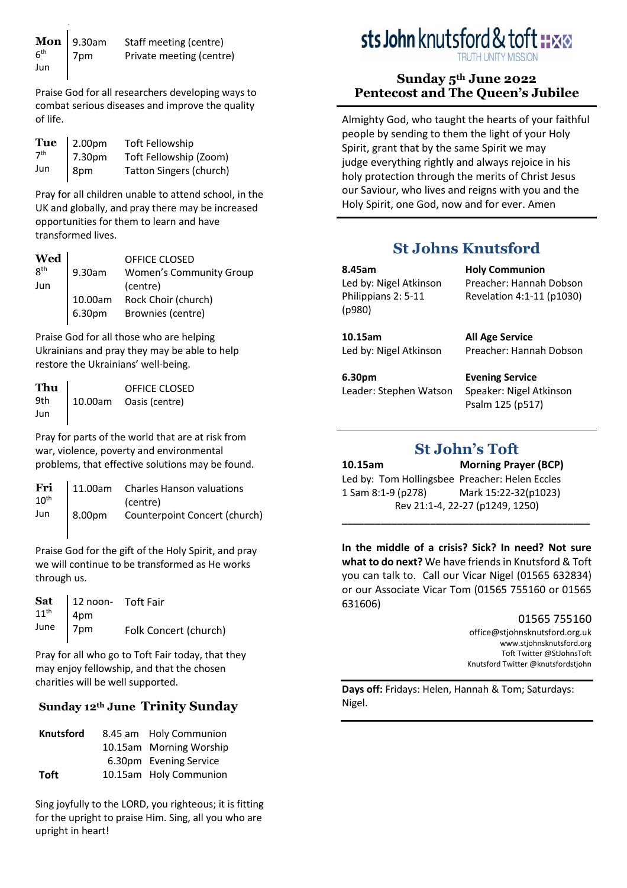**Mon**  6 th Jun 9.30am 7pm Staff meeting (centre) Private meeting (centre)

Praise God for all researchers developing ways to combat serious diseases and improve the quality of life.

|                 | Tue $\vert$ 2.00pm | <b>Toft Fellowship</b>         |
|-----------------|--------------------|--------------------------------|
| 7 <sup>th</sup> | 7.30pm             | Toft Fellowship (Zoom)         |
| Jun             | 8pm                | <b>Tatton Singers (church)</b> |

Pray for all children unable to attend school, in the UK and globally, and pray there may be increased opportunities for them to learn and have transformed lives.

| $\left\{\mathbf{W}\in\mathbf{M}\atop \mathbf{B}^{\text{th}}\right\}$<br>Jun | 9.30am            | <b>OFFICE CLOSED</b><br><b>Women's Community Group</b><br>(centre) |
|-----------------------------------------------------------------------------|-------------------|--------------------------------------------------------------------|
|                                                                             | 10.00am<br>6.30pm | Rock Choir (church)<br>Brownies (centre)                           |

Praise God for all those who are helping Ukrainians and pray they may be able to help restore the Ukrainians' well-being.

| Thu | OFFICE CLOSED          |
|-----|------------------------|
| 9th | 10.00am Oasis (centre) |
| Jun |                        |

Pray for parts of the world that are at risk from war, violence, poverty and environmental problems, that effective solutions may be found.

|  | Fri $\begin{bmatrix} 11.00am & Charles Hanson~valuations \\ 10th(centre)$ |
|--|---------------------------------------------------------------------------|
|  | Jun   8.00pm Counterpoint Concert (church)                                |

Praise God for the gift of the Holy Spirit, and pray we will continue to be transformed as He works through us.

| <b>Sat</b> $11^{\text{th}}$ $\begin{cases} 12 \text{ noon} \\ 4 \text{pm} \\ 7 \text{pm} \end{cases}$ To Folk Cond | Folk Concert (church) |
|--------------------------------------------------------------------------------------------------------------------|-----------------------|

Pray for all who go to Toft Fair today, that they may enjoy fellowship, and that the chosen charities will be well supported.

# **Sunday 12th June Trinity Sunday**

| <b>Knutsford</b> | 8.45 am Holy Communion  |
|------------------|-------------------------|
|                  | 10.15am Morning Worship |
|                  | 6.30pm Evening Service  |
| <b>Toft</b>      | 10.15am Holy Communion  |

Sing joyfully to the LORD, you righteous; it is fitting for the upright to praise Him. Sing, all you who are upright in heart!

# sts John knutsford & toft

## **Sunday 5th June 2022 Pentecost and The Queen's Jubilee**

Almighty God, who taught the hearts of your faithful people by sending to them the light of your Holy Spirit, grant that by the same Spirit we may judge everything rightly and always rejoice in his holy protection through the merits of Christ Jesus our Saviour, who lives and reigns with you and the Holy Spirit, one God, now and for ever. Amen

# **St Johns Knutsford**

**8.45am** Led by: Nigel Atkinson Philippians 2: 5-11 (p980)

**10.15am** Led by: Nigel Atkinson **All Age Service** Preacher: Hannah Dobson

Preacher: Hannah Dobson Revelation 4:1-11 (p1030)

**Holy Communion**

**6.30pm** Leader: Stephen Watson

**Evening Service** Speaker: Nigel Atkinson Psalm 125 (p517)

# **St John's Toft**

**10.15am Morning Prayer (BCP)** Led by: Tom Hollingsbee Preacher: Helen Eccles 1 Sam 8:1-9 (p278) Mark 15:22-32(p1023) Rev 21:1-4, 22-27 (p1249, 1250)

**In the middle of a crisis? Sick? In need? Not sure what to do next?** We have friends in Knutsford & Toft you can talk to. Call our Vicar Nigel (01565 632834) or our Associate Vicar Tom (01565 755160 or 01565 631606)

**\_\_\_\_\_\_\_\_\_\_\_\_\_\_\_\_\_\_\_\_\_\_\_\_\_\_\_\_\_\_\_\_\_\_\_\_\_\_\_\_\_\_\_\_\_** 

#### 01565 755160

[office@stjohnsknutsford.org.uk](mailto:office@stjohnsknutsford.org.uk) [www.stjohnsknutsford.org](http://www.stjohnsknutsford.org/) Toft Twitter @StJohnsToft Knutsford Twitter @knutsfordstjohn

**Days off:** Fridays: Helen, Hannah & Tom; Saturdays: Nigel.